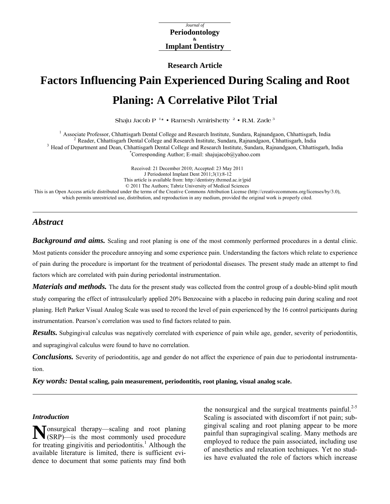*Journal of*  **Periodontology & Implant Dentistry**

**Research Article** 

# **Factors Influencing Pain Experienced During Scaling and Root Planing: A Correlative Pilot Trial**

**Shaju Jacob P 1\* • Ramesh Amirishetty 2 • R.M. Zade 3**

<sup>1</sup> Associate Professor, Chhattisgarh Dental College and Research Institute, Sundara, Rajnandgaon, Chhattisgarh, India<br><sup>2</sup> Reader, Chhattisgarh Dental College and Research Institute, Sundara, Rajnandgaon, Chhattisgarh, In Corresponding Author; E-mail: shajujacob@yahoo.com

Received: 21 December 2010; Accepted: 23 May 2011 J Periodontol Implant Dent 2011;3(1):8-12 This article is available from: http://dentistry.tbzmed.ac.ir/jpid © 2011 The Authors; Tabriz University of Medical Sciences This is an Open Access article distributed under the terms of the Creative Commons Attribution License (http://creativecommons.org/licenses/by/3.0), which permits unrestricted use, distribution, and reproduction in any medium, provided the original work is properly cited.

# *Abstract*

**Background and aims.** Scaling and root planing is one of the most commonly performed procedures in a dental clinic. Most patients consider the procedure annoying and some experience pain. Understanding the factors which relate to experience of pain during the procedure is important for the treatment of periodontal diseases. The present study made an attempt to find factors which are correlated with pain during periodontal instrumentation.

*Materials and methods*. The data for the present study was collected from the control group of a double-blind split mouth study comparing the effect of intrasulcularly applied 20% Benzocaine with a placebo in reducing pain during scaling and root planing. Heft Parker Visual Analog Scale was used to record the level of pain experienced by the 16 control participants during instrumentation. Pearson's correlation was used to find factors related to pain.

*Results.* Subgingival calculus was negatively correlated with experience of pain while age, gender, severity of periodontitis, and supragingival calculus were found to have no correlation.

*Conclusions.* Severity of periodontitis, age and gender do not affect the experience of pain due to periodontal instrumentation.

*Key words:* **Dental scaling, pain measurement, periodontitis, root planing, visual analog scale.** 

# *Introduction*

onsurgical therapy—scaling and root planing (SRP)—is the most commonly used procedure **N** for treating gingivitis and periodontitis.<sup>1</sup> Although the available literature is limited, there is sufficient evidence to document that some patients may find both

the nonsurgical and the surgical treatments painful.<sup>2-5</sup> Scaling is associated with discomfort if not pain; subgingival scaling and root planing appear to be more painful than supragingival scaling. Many methods are employed to reduce the pain associated, including use of anesthetics and relaxation techniques. Yet no studies have evaluated the role of factors which increase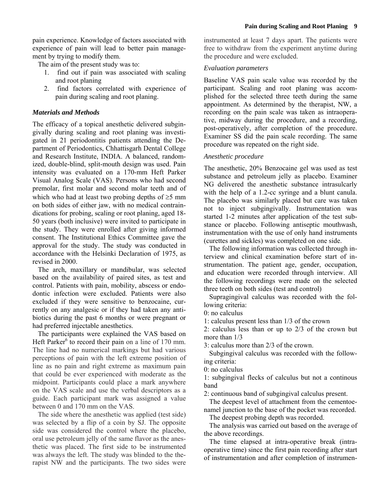pain experience. Knowledge of factors associated with experience of pain will lead to better pain management by trying to modify them.

The aim of the present study was to:

- 1. find out if pain was associated with scaling and root planing
- 2. find factors correlated with experience of pain during scaling and root planing.

# *Materials and Methods*

The efficacy of a topical anesthetic delivered subgingivally during scaling and root planing was investigated in 21 periodontitis patients attending the Department of Periodontics, Chhattisgarh Dental College and Research Institute, INDIA. A balanced, randomized, double-blind, split-mouth design was used. Pain intensity was evaluated on a 170-mm Heft Parker Visual Analog Scale (VAS). Persons who had second premolar, first molar and second molar teeth and of which who had at least two probing depths of  $\geq$ 5 mm on both sides of either jaw, with no medical contraindications for probing, scaling or root planing, aged 18- 50 years (both inclusive) were invited to participate in the study. They were enrolled after giving informed consent. The Institutional Ethics Committee gave the approval for the study. The study was conducted in accordance with the Helsinki Declaration of 1975, as revised in 2000.

The arch, maxillary or mandibular, was selected based on the availability of paired sites, as test and control. Patients with pain, mobility, abscess or endodontic infection were excluded. Patients were also excluded if they were sensitive to benzocaine, currently on any analgesic or if they had taken any antibiotics during the past 6 months or were pregnant or had preferred injectable anesthetics.

The participants were explained the VAS based on Heft Parker $6$  to record their pain on a line of 170 mm. The line had no numerical markings but had various perceptions of pain with the left extreme position of line as no pain and right extreme as maximum pain that could be ever experienced with moderate as the midpoint. Participants could place a mark anywhere on the VAS scale and use the verbal descriptors as a guide. Each participant mark was assigned a value between 0 and 170 mm on the VAS.

The side where the anesthetic was applied (test side) was selected by a flip of a coin by SJ. The opposite side was considered the control where the placebo, oral use petroleum jelly of the same flavor as the anesthetic was placed. The first side to be instrumented was always the left. The study was blinded to the therapist NW and the participants. The two sides were instrumented at least 7 days apart. The patients were free to withdraw from the experiment anytime during the procedure and were excluded.

# *Evaluation parameters*

Baseline VAS pain scale value was recorded by the participant. Scaling and root planing was accomplished for the selected three teeth during the same appointment. As determined by the therapist, NW, a recording on the pain scale was taken as intraoperative, midway during the procedure, and a recording, post-operatively, after completion of the procedure. Examiner SS did the pain scale recording. The same procedure was repeated on the right side.

# *Anesthetic procedure*

The anesthetic, 20% Benzocaine gel was used as test substance and petroleum jelly as placebo. Examiner NG delivered the anesthetic substance intrasulcarly with the help of a 1.2-cc syringe and a blunt canula. The placebo was similarly placed but care was taken not to inject subgingivally. Instrumentation was started 1-2 minutes after application of the test substance or placebo. Following antiseptic mouthwash, instrumentation with the use of only hand instruments (curettes and sickles) was completed on one side.

The following information was collected through interview and clinical examination before start of instrumentation. The patient age, gender, occupation, and education were recorded through interview. All the following recordings were made on the selected three teeth on both sides (test and control)

Supragingival calculus was recorded with the following criteria:

0: no calculus

1: calculus present less than 1/3 of the crown

2: calculus less than or up to 2/3 of the crown but more than  $1/3$ 

3: calculus more than 2/3 of the crown.

Subgingival calculus was recorded with the following criteria:

0: no calculus

1: subgingival flecks of calculus but not a continous band

2: continuous band of subgingival calculus present.

The deepest level of attachment from the cementoenamel junction to the base of the pocket was recorded.

The deepest probing depth was recorded.

The analysis was carried out based on the average of the above recordings.

The time elapsed at intra-operative break (intraoperative time) since the first pain recording after start of instrumentation and after completion of instrumen-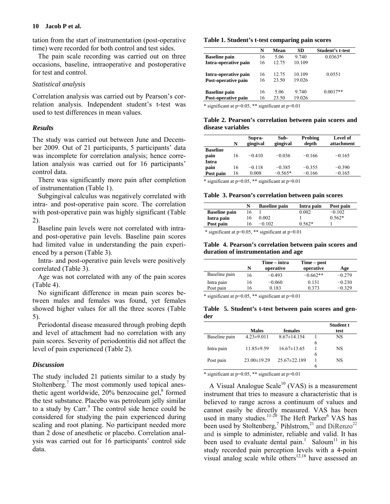## **10 Jacob P et al.**

tation from the start of instrumentation (post-operative time) were recorded for both control and test sides.

The pain scale recording was carried out on three occasions, baseline, intraoperative and postoperative for test and control.

## *Statistical analysis*

Correlation analysis was carried out by Pearson's correlation analysis. Independent student's t-test was used to test differences in mean values.

## *Results*

The study was carried out between June and December 2009. Out of 21 participants, 5 participants' data was incomplete for correlation analysis; hence correlation analysis was carried out for 16 participants' control data.

There was significantly more pain after completion of instrumentation (Table 1).

Subgingival calculus was negatively correlated with intra- and post-operative pain score. The correlation with post-operative pain was highly significant (Table 2).

Baseline pain levels were not correlated with intraand post-operative pain levels. Baseline pain scores had limited value in understanding the pain experienced by a person (Table 3).

Intra- and post-operative pain levels were positively correlated (Table 3).

Age was not correlated with any of the pain scores (Table 4).

No significant difference in mean pain scores between males and females was found, yet females showed higher values for all the three scores (Table 5).

Periodontal disease measured through probing depth and level of attachment had no correlation with any pain scores. Severity of periodontitis did not affect the level of pain experienced (Table 2).

#### *Discussion*

The study included 21 patients similar to a study by Stoltenberg.<sup>7</sup> The most commonly used topical anesthetic agent worldwide,  $20\%$  benzocaine gel, $8$  formed the test substance. Placebo was petroleum jelly similar to a study by Carr.<sup>9</sup> The control side hence could be considered for studying the pain experienced during scaling and root planing. No participant needed more than 2 dose of anesthetic or placebo. Correlation analysis was carried out for 16 participants' control side data.

#### **Table 1. Student's t-test comparing pain scores**

|                      | N  | Mean  | SD     | Student's t-test |
|----------------------|----|-------|--------|------------------|
| <b>Baseline</b> pain | 16 | 5.06  | 9.740  | $0.0363*$        |
| Intra-operative pain | 16 | 12.75 | 10.109 |                  |
| Intra-operative pain | 16 | 12.75 | 10.109 | 0.0551           |
| Post-operative pain  | 16 | 23.50 | 19.026 |                  |
| <b>Baseline</b> pain | 16 | 5.06  | 9.740  | $0.0017**$       |
| Post-operative pain  | 16 | 23.50 | 19.026 |                  |

\* significant at p=0.05, \*\* significant at p=0.01

#### **Table 2. Pearson's correlation between pain scores and disease variables**

|                 | N  | Supra-<br>gingival | Sub-<br>gingival | Probing<br>depth | Level of<br>attachment |
|-----------------|----|--------------------|------------------|------------------|------------------------|
| <b>Baseline</b> |    |                    |                  |                  |                        |
| pain            | 16 | $-0.410$           | $-0.036$         | $-0.166$         | $-0.165$               |
| Intra           |    |                    |                  |                  |                        |
| pain            | 16 | $-0.118$           | $-0.385$         | $-0.355$         | $-0.390$               |
| Post pain       | 16 | 0.008              | $-0.565*$        | $-0.166$         | $-0.165$               |

\* significant at p=0.05, \*\* significant at p=0.01

#### **Table 3. Pearson's correlation between pain scores**

|                      |    | <b>Baseline pain</b> | Intra pain | Post pain |
|----------------------|----|----------------------|------------|-----------|
| <b>Baseline pain</b> | 16 |                      | 2.002      | $-0.102$  |
| Intra pain           | 16 | 0.002                |            | $0.562*$  |
| Post pain            | 6  | $-0.102$             | በ 562*     |           |

\* significant at p=0.05, \*\* significant at p=0.01

#### **Table 4. Pearson's correlation between pain scores and duration of instrumentation and age**

|               | N  | Time – intra<br>operative | Time – post<br>operative | Age      |
|---------------|----|---------------------------|--------------------------|----------|
| Baseline pain | 16 | $-0.493$                  | $-0.662**$               | $-0.279$ |
| Intra pain    | 16 | $-0.060$                  | 0.131                    | $-0.230$ |
| Post pain     | 16 | 0.183                     | 0.373                    | $-0.329$ |

\* significant at p=0.05, \*\* significant at p=0.01

**Table 5. Student's t-test between pain scores and gender** 

|               |                   |                    |   | Student t |
|---------------|-------------------|--------------------|---|-----------|
|               | <b>Males</b>      | females            |   | test      |
| Baseline pain | $4.23 \pm 9.011$  | $8.67 \pm 14.154$  |   | NS        |
|               |                   |                    | 6 |           |
| Intra pain    | $11.85\pm9.59$    | $16.67\pm13.65$    |   | NS        |
|               |                   |                    | 6 |           |
| Post pain     | $23.00 \pm 19.29$ | $25.67 \pm 22.189$ |   | NS        |
|               |                   |                    |   |           |

\* significant at p=0.05, \*\* significant at p=0.01

A Visual Analogue Scale<sup>10</sup> (VAS) is a measurement instrument that tries to measure a characteristic that is believed to range across a continuum of values and cannot easily be directly measured. VAS has been used in many studies. $11-20$  The Heft Parker<sup>6</sup> VAS has been used by Stoltenberg,<sup>7</sup> Pihlstrom,<sup>21</sup> and DiRenzo<sup>22</sup> and is simple to administer, reliable and valid. It has been used to evaluate dental pain.<sup>1</sup> Saloum<sup>11</sup> in his study recorded pain perception levels with a 4-point visual analog scale while others $12,18$  have assessed an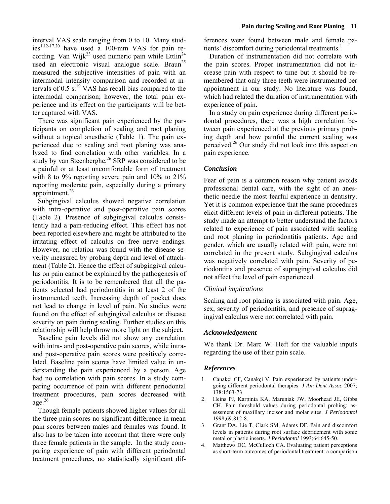interval VAS scale ranging from 0 to 10. Many stud $ies^{1,12-17,20}$  have used a 100-mm VAS for pain recording. Van Wijk<sup>23</sup> used numeric pain while Ettlin<sup>24</sup> used an electronic visual analogue scale. Braun<sup>25</sup> measured the subjective intensities of pain with an intermodal intensity comparison and recorded at intervals of  $0.5$  s.<sup>19</sup> VAS has recall bias compared to the intermodal comparison; however, the total pain experience and its effect on the participants will be better captured with VAS.

There was significant pain experienced by the participants on completion of scaling and root planing without a topical anesthetic (Table 1). The pain experienced due to scaling and root planing was analyzed to find correlation with other variables. In a study by van Steenberghe, $26$  SRP was considered to be a painful or at least uncomfortable form of treatment with 8 to 9% reporting severe pain and 10% to 21% reporting moderate pain, especially during a primary appointment.<sup>26</sup>

Subgingival calculus showed negative correlation with intra-operative and post-operative pain scores (Table 2). Presence of subgingival calculus consistently had a pain-reducing effect. This effect has not been reported elsewhere and might be attributed to the irritating effect of calculus on free nerve endings. However, no relation was found with the disease severity measured by probing depth and level of attachment (Table 2). Hence the effect of subgingival calculus on pain cannot be explained by the pathogenesis of periodontitis. It is to be remembered that all the patients selected had periodontitis in at least 2 of the instrumented teeth. Increasing depth of pocket does not lead to change in level of pain. No studies were found on the effect of subgingival calculus or disease severity on pain during scaling. Further studies on this relationship will help throw more light on the subject.

Baseline pain levels did not show any correlation with intra- and post-operative pain scores, while intraand post-operative pain scores were positively correlated. Baseline pain scores have limited value in understanding the pain experienced by a person. Age had no correlation with pain scores. In a study comparing occurrence of pain with different periodontal treatment procedures, pain scores decreased with age. $26$ 

Though female patients showed higher values for all the three pain scores no significant difference in mean pain scores between males and females was found. It also has to be taken into account that there were only three female patients in the sample. In the study comparing experience of pain with different periodontal treatment procedures, no statistically significant differences were found between male and female patients' discomfort during periodontal treatments.<sup>1</sup>

Duration of instrumentation did not correlate with the pain scores. Proper instrumentation did not increase pain with respect to time but it should be remembered that only three teeth were instrumented per appointment in our study. No literature was found, which had related the duration of instrumentation with experience of pain.

In a study on pain experience during different periodontal procedures, there was a high correlation between pain experienced at the previous primary probing depth and how painful the current scaling was perceived.<sup>26</sup> Our study did not look into this aspect on pain experience.

# *Conclusion*

Fear of pain is a common reason why patient avoids professional dental care, with the sight of an anesthetic needle the most fearful experience in dentistry. Yet it is common experience that the same procedures elicit different levels of pain in different patients. The study made an attempt to better understand the factors related to experience of pain associated with scaling and root planing in periodontitis patients. Age and gender, which are usually related with pain, were not correlated in the present study. Subgingival calculus was negatively correlated with pain. Severity of periodontitis and presence of supragingival calculus did not affect the level of pain experienced.

## *Clinical implications*

Scaling and root planing is associated with pain. Age, sex, severity of periodontitis, and presence of supragingival calculus were not correlated with pain.

## *Acknowledgement*

We thank Dr. Marc W. Heft for the valuable inputs regarding the use of their pain scale.

## *References*

- 1. Canakçi CF, Canakçi V. Pain experienced by patients undergoing different periodontal therapies. *J Am Dent Assoc* 2007; 138:1563-73.
- 2. Heins PJ, Karpinia KA, Maruniak JW, Moorhead JE, Gibbs CH. Pain threshold values during periodontal probing: assessment of maxillary incisor and molar sites. *J Periodontol* 1998;69:812-8.
- 3. Grant DA, Lie T, Clark SM, Adams DF. Pain and discomfort levels in patients during root surface débridement with sonic metal or plastic inserts. *J Periodontol* 1993;64:645-50.
- 4. Matthews DC, McCulloch CA. Evaluating patient perceptions as short-term outcomes of periodontal treatment: a comparison